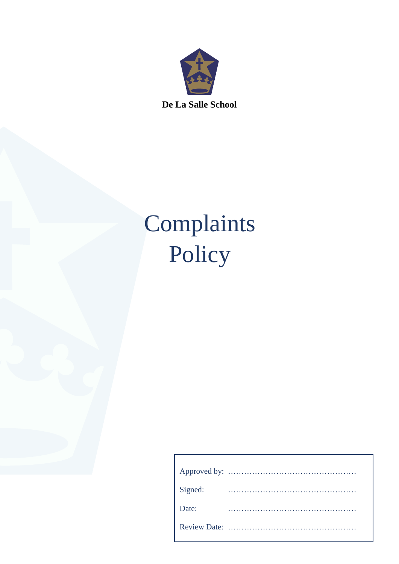

**De La Salle School**

# Complaints Policy

| Signed: |  |
|---------|--|
| Date:   |  |
|         |  |
|         |  |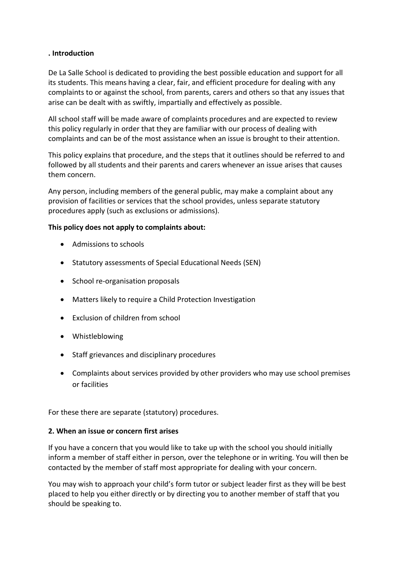## **. Introduction**

De La Salle School is dedicated to providing the best possible education and support for all its students. This means having a clear, fair, and efficient procedure for dealing with any complaints to or against the school, from parents, carers and others so that any issues that arise can be dealt with as swiftly, impartially and effectively as possible.

All school staff will be made aware of complaints procedures and are expected to review this policy regularly in order that they are familiar with our process of dealing with complaints and can be of the most assistance when an issue is brought to their attention.

This policy explains that procedure, and the steps that it outlines should be referred to and followed by all students and their parents and carers whenever an issue arises that causes them concern.

Any person, including members of the general public, may make a complaint about any provision of facilities or services that the school provides, unless separate statutory procedures apply (such as exclusions or admissions).

## **This policy does not apply to complaints about:**

- Admissions to schools
- Statutory assessments of Special Educational Needs (SEN)
- School re-organisation proposals
- Matters likely to require a Child Protection Investigation
- Exclusion of children from school
- Whistleblowing
- Staff grievances and disciplinary procedures
- Complaints about services provided by other providers who may use school premises or facilities

For these there are separate (statutory) procedures.

# **2. When an issue or concern first arises**

If you have a concern that you would like to take up with the school you should initially inform a member of staff either in person, over the telephone or in writing. You will then be contacted by the member of staff most appropriate for dealing with your concern.

You may wish to approach your child's form tutor or subject leader first as they will be best placed to help you either directly or by directing you to another member of staff that you should be speaking to.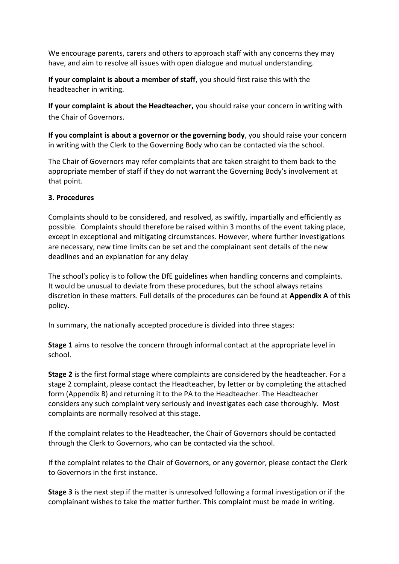We encourage parents, carers and others to approach staff with any concerns they may have, and aim to resolve all issues with open dialogue and mutual understanding.

**If your complaint is about a member of staff**, you should first raise this with the headteacher in writing.

**If your complaint is about the Headteacher,** you should raise your concern in writing with the Chair of Governors.

**If you complaint is about a governor or the governing body**, you should raise your concern in writing with the Clerk to the Governing Body who can be contacted via the school.

The Chair of Governors may refer complaints that are taken straight to them back to the appropriate member of staff if they do not warrant the Governing Body's involvement at that point.

# **3. Procedures**

Complaints should to be considered, and resolved, as swiftly, impartially and efficiently as possible. Complaints should therefore be raised within 3 months of the event taking place, except in exceptional and mitigating circumstances. However, where further investigations are necessary, new time limits can be set and the complainant sent details of the new deadlines and an explanation for any delay

The school's policy is to follow the DfE guidelines when handling concerns and complaints. It would be unusual to deviate from these procedures, but the school always retains discretion in these matters. Full details of the procedures can be found at **Appendix A** of this policy.

In summary, the nationally accepted procedure is divided into three stages:

**Stage 1** aims to resolve the concern through informal contact at the appropriate level in school.

**Stage 2** is the first formal stage where complaints are considered by the headteacher. For a stage 2 complaint, please contact the Headteacher, by letter or by completing the attached form (Appendix B) and returning it to the PA to the Headteacher. The Headteacher considers any such complaint very seriously and investigates each case thoroughly. Most complaints are normally resolved at this stage.

If the complaint relates to the Headteacher, the Chair of Governors should be contacted through the Clerk to Governors, who can be contacted via the school.

If the complaint relates to the Chair of Governors, or any governor, please contact the Clerk to Governors in the first instance.

**Stage 3** is the next step if the matter is unresolved following a formal investigation or if the complainant wishes to take the matter further. This complaint must be made in writing.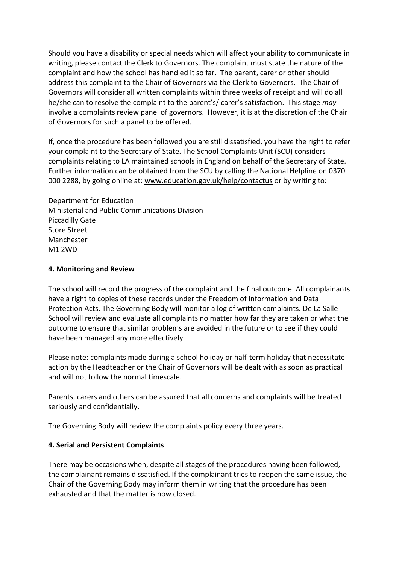Should you have a disability or special needs which will affect your ability to communicate in writing, please contact the Clerk to Governors. The complaint must state the nature of the complaint and how the school has handled it so far. The parent, carer or other should address this complaint to the Chair of Governors via the Clerk to Governors. The Chair of Governors will consider all written complaints within three weeks of receipt and will do all he/she can to resolve the complaint to the parent's/ carer's satisfaction. This stage *may* involve a complaints review panel of governors. However, it is at the discretion of the Chair of Governors for such a panel to be offered.

If, once the procedure has been followed you are still dissatisfied, you have the right to refer your complaint to the Secretary of State. The School Complaints Unit (SCU) considers complaints relating to LA maintained schools in England on behalf of the Secretary of State. Further information can be obtained from the SCU by calling the National Helpline on 0370 000 2288, by going online at: [www.education.gov.uk/help/contactus](http://www.education.gov.uk/help/contactus) or by writing to:

Department for Education Ministerial and Public Communications Division Piccadilly Gate Store Street Manchester M1 2WD

#### **4. Monitoring and Review**

The school will record the progress of the complaint and the final outcome. All complainants have a right to copies of these records under the Freedom of Information and Data Protection Acts. The Governing Body will monitor a log of written complaints. De La Salle School will review and evaluate all complaints no matter how far they are taken or what the outcome to ensure that similar problems are avoided in the future or to see if they could have been managed any more effectively.

Please note: complaints made during a school holiday or half-term holiday that necessitate action by the Headteacher or the Chair of Governors will be dealt with as soon as practical and will not follow the normal timescale.

Parents, carers and others can be assured that all concerns and complaints will be treated seriously and confidentially.

The Governing Body will review the complaints policy every three years.

# **4. Serial and Persistent Complaints**

There may be occasions when, despite all stages of the procedures having been followed, the complainant remains dissatisfied. If the complainant tries to reopen the same issue, the Chair of the Governing Body may inform them in writing that the procedure has been exhausted and that the matter is now closed.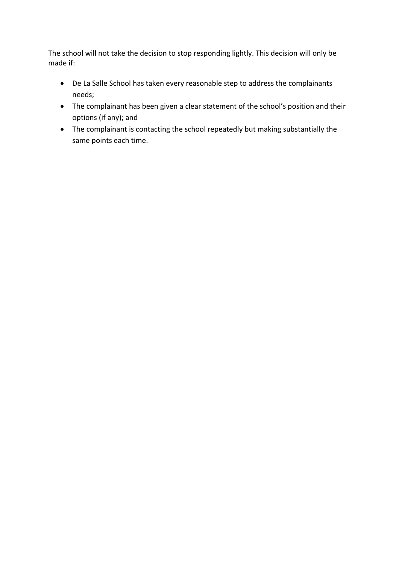The school will not take the decision to stop responding lightly. This decision will only be made if:

- De La Salle School has taken every reasonable step to address the complainants needs;
- The complainant has been given a clear statement of the school's position and their options (if any); and
- The complainant is contacting the school repeatedly but making substantially the same points each time.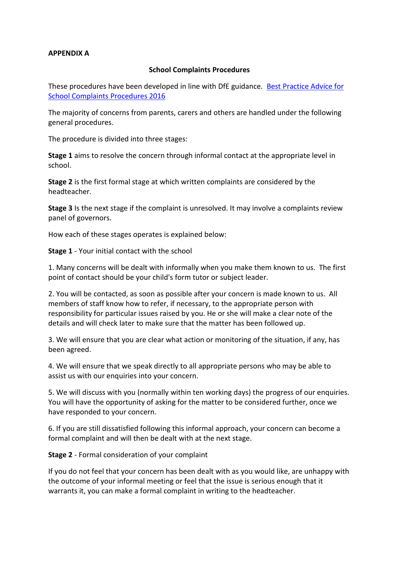## **APPENDIX A**

## **School Complaints Procedures**

These procedures have been developed in line with DfE guidance. [Best Practice Advice for](https://www.gov.uk/government/uploads/system/uploads/attachment_data/file/489056/Best_Practice_Advice_for_School_Complaints_2016.pdf)  [School Complaints](https://www.gov.uk/government/uploads/system/uploads/attachment_data/file/489056/Best_Practice_Advice_for_School_Complaints_2016.pdf) Procedures 2016

The majority of concerns from parents, carers and others are handled under the following general procedures.

The procedure is divided into three stages:

**Stage 1** aims to resolve the concern through informal contact at the appropriate level in school.

**Stage 2** is the first formal stage at which written complaints are considered by the headteacher.

**Stage 3** Is the next stage if the complaint is unresolved. It may involve a complaints review panel of governors.

How each of these stages operates is explained below:

**Stage 1** - Your initial contact with the school

1. Many concerns will be dealt with informally when you make them known to us. The first point of contact should be your child's form tutor or subject leader.

2. You will be contacted, as soon as possible after your concern is made known to us. All members of staff know how to refer, if necessary, to the appropriate person with responsibility for particular issues raised by you. He or she will make a clear note of the details and will check later to make sure that the matter has been followed up.

3. We will ensure that you are clear what action or monitoring of the situation, if any, has been agreed.

4. We will ensure that we speak directly to all appropriate persons who may be able to assist us with our enquiries into your concern.

5. We will discuss with you (normally within ten working days) the progress of our enquiries. You will have the opportunity of asking for the matter to be considered further, once we have responded to your concern.

6. If you are still dissatisfied following this informal approach, your concern can become a formal complaint and will then be dealt with at the next stage.

**Stage 2** - Formal consideration of your complaint

If you do not feel that your concern has been dealt with as you would like, are unhappy with the outcome of your informal meeting or feel that the issue is serious enough that it warrants it, you can make a formal complaint in writing to the headteacher.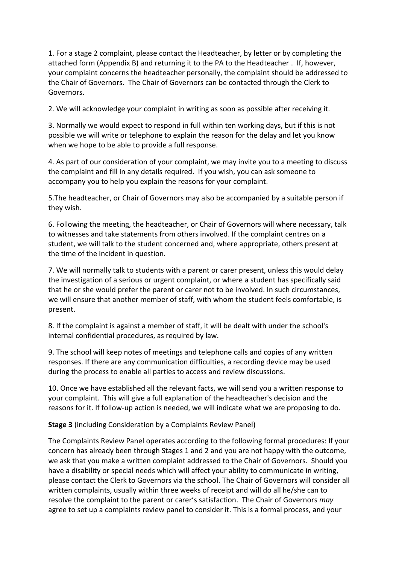1. For a stage 2 complaint, please contact the Headteacher, by letter or by completing the attached form (Appendix B) and returning it to the PA to the Headteacher . If, however, your complaint concerns the headteacher personally, the complaint should be addressed to the Chair of Governors. The Chair of Governors can be contacted through the Clerk to Governors.

2. We will acknowledge your complaint in writing as soon as possible after receiving it.

3. Normally we would expect to respond in full within ten working days, but if this is not possible we will write or telephone to explain the reason for the delay and let you know when we hope to be able to provide a full response.

4. As part of our consideration of your complaint, we may invite you to a meeting to discuss the complaint and fill in any details required. If you wish, you can ask someone to accompany you to help you explain the reasons for your complaint.

5.The headteacher, or Chair of Governors may also be accompanied by a suitable person if they wish.

6. Following the meeting, the headteacher, or Chair of Governors will where necessary, talk to witnesses and take statements from others involved. If the complaint centres on a student, we will talk to the student concerned and, where appropriate, others present at the time of the incident in question.

7. We will normally talk to students with a parent or carer present, unless this would delay the investigation of a serious or urgent complaint, or where a student has specifically said that he or she would prefer the parent or carer not to be involved. In such circumstances, we will ensure that another member of staff, with whom the student feels comfortable, is present.

8. If the complaint is against a member of staff, it will be dealt with under the school's internal confidential procedures, as required by law.

9. The school will keep notes of meetings and telephone calls and copies of any written responses. If there are any communication difficulties, a recording device may be used during the process to enable all parties to access and review discussions.

10. Once we have established all the relevant facts, we will send you a written response to your complaint. This will give a full explanation of the headteacher's decision and the reasons for it. If follow-up action is needed, we will indicate what we are proposing to do.

**Stage 3** (including Consideration by a Complaints Review Panel)

The Complaints Review Panel operates according to the following formal procedures: If your concern has already been through Stages 1 and 2 and you are not happy with the outcome, we ask that you make a written complaint addressed to the Chair of Governors. Should you have a disability or special needs which will affect your ability to communicate in writing, please contact the Clerk to Governors via the school. The Chair of Governors will consider all written complaints, usually within three weeks of receipt and will do all he/she can to resolve the complaint to the parent or carer's satisfaction. The Chair of Governors *may* agree to set up a complaints review panel to consider it. This is a formal process, and your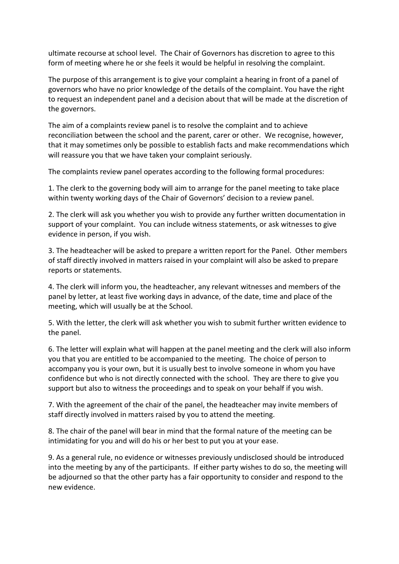ultimate recourse at school level. The Chair of Governors has discretion to agree to this form of meeting where he or she feels it would be helpful in resolving the complaint.

The purpose of this arrangement is to give your complaint a hearing in front of a panel of governors who have no prior knowledge of the details of the complaint. You have the right to request an independent panel and a decision about that will be made at the discretion of the governors.

The aim of a complaints review panel is to resolve the complaint and to achieve reconciliation between the school and the parent, carer or other. We recognise, however, that it may sometimes only be possible to establish facts and make recommendations which will reassure you that we have taken your complaint seriously.

The complaints review panel operates according to the following formal procedures:

1. The clerk to the governing body will aim to arrange for the panel meeting to take place within twenty working days of the Chair of Governors' decision to a review panel.

2. The clerk will ask you whether you wish to provide any further written documentation in support of your complaint. You can include witness statements, or ask witnesses to give evidence in person, if you wish.

3. The headteacher will be asked to prepare a written report for the Panel. Other members of staff directly involved in matters raised in your complaint will also be asked to prepare reports or statements.

4. The clerk will inform you, the headteacher, any relevant witnesses and members of the panel by letter, at least five working days in advance, of the date, time and place of the meeting, which will usually be at the School.

5. With the letter, the clerk will ask whether you wish to submit further written evidence to the panel.

6. The letter will explain what will happen at the panel meeting and the clerk will also inform you that you are entitled to be accompanied to the meeting. The choice of person to accompany you is your own, but it is usually best to involve someone in whom you have confidence but who is not directly connected with the school. They are there to give you support but also to witness the proceedings and to speak on your behalf if you wish.

7. With the agreement of the chair of the panel, the headteacher may invite members of staff directly involved in matters raised by you to attend the meeting.

8. The chair of the panel will bear in mind that the formal nature of the meeting can be intimidating for you and will do his or her best to put you at your ease.

9. As a general rule, no evidence or witnesses previously undisclosed should be introduced into the meeting by any of the participants. If either party wishes to do so, the meeting will be adjourned so that the other party has a fair opportunity to consider and respond to the new evidence.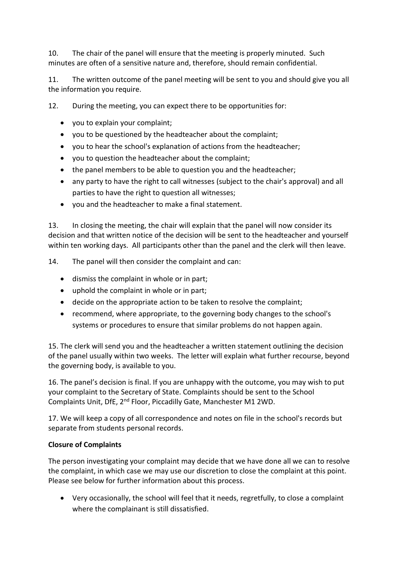10. The chair of the panel will ensure that the meeting is properly minuted. Such minutes are often of a sensitive nature and, therefore, should remain confidential.

11. The written outcome of the panel meeting will be sent to you and should give you all the information you require.

12. During the meeting, you can expect there to be opportunities for:

- you to explain your complaint;
- you to be questioned by the headteacher about the complaint;
- you to hear the school's explanation of actions from the headteacher;
- you to question the headteacher about the complaint;
- the panel members to be able to question you and the headteacher;
- any party to have the right to call witnesses (subject to the chair's approval) and all parties to have the right to question all witnesses;
- you and the headteacher to make a final statement.

13. In closing the meeting, the chair will explain that the panel will now consider its decision and that written notice of the decision will be sent to the headteacher and yourself within ten working days. All participants other than the panel and the clerk will then leave.

14. The panel will then consider the complaint and can:

- dismiss the complaint in whole or in part;
- uphold the complaint in whole or in part;
- decide on the appropriate action to be taken to resolve the complaint;
- recommend, where appropriate, to the governing body changes to the school's systems or procedures to ensure that similar problems do not happen again.

15. The clerk will send you and the headteacher a written statement outlining the decision of the panel usually within two weeks. The letter will explain what further recourse, beyond the governing body, is available to you.

16. The panel's decision is final. If you are unhappy with the outcome, you may wish to put your complaint to the Secretary of State. Complaints should be sent to the School Complaints Unit, DfE, 2nd Floor, Piccadilly Gate, Manchester M1 2WD.

17. We will keep a copy of all correspondence and notes on file in the school's records but separate from students personal records.

# **Closure of Complaints**

The person investigating your complaint may decide that we have done all we can to resolve the complaint, in which case we may use our discretion to close the complaint at this point. Please see below for further information about this process.

 Very occasionally, the school will feel that it needs, regretfully, to close a complaint where the complainant is still dissatisfied.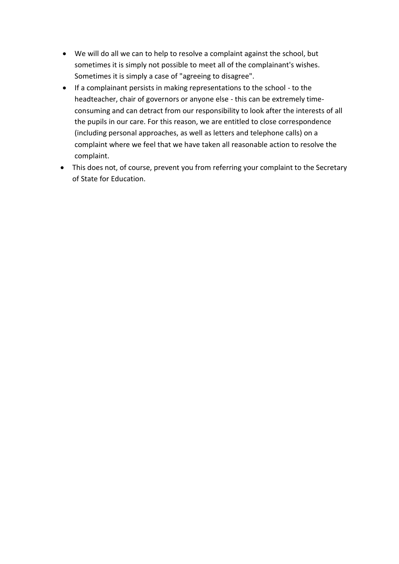- We will do all we can to help to resolve a complaint against the school, but sometimes it is simply not possible to meet all of the complainant's wishes. Sometimes it is simply a case of "agreeing to disagree".
- If a complainant persists in making representations to the school to the headteacher, chair of governors or anyone else - this can be extremely timeconsuming and can detract from our responsibility to look after the interests of all the pupils in our care. For this reason, we are entitled to close correspondence (including personal approaches, as well as letters and telephone calls) on a complaint where we feel that we have taken all reasonable action to resolve the complaint.
- This does not, of course, prevent you from referring your complaint to the Secretary of State for Education.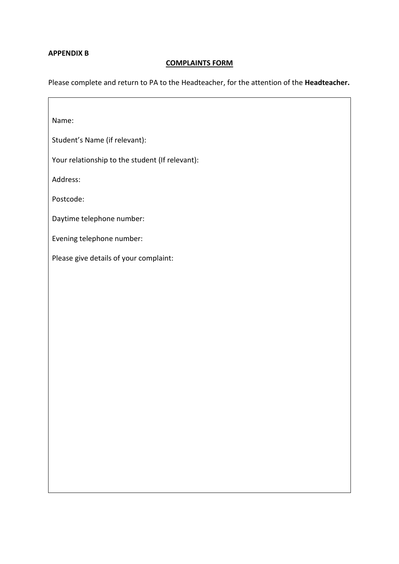#### **APPENDIX B**

#### **COMPLAINTS FORM**

Please complete and return to PA to the Headteacher, for the attention of the **Headteacher.**

Name:

Student's Name (if relevant):

Your relationship to the student (If relevant):

Address:

Postcode:

Daytime telephone number:

Evening telephone number:

Please give details of your complaint: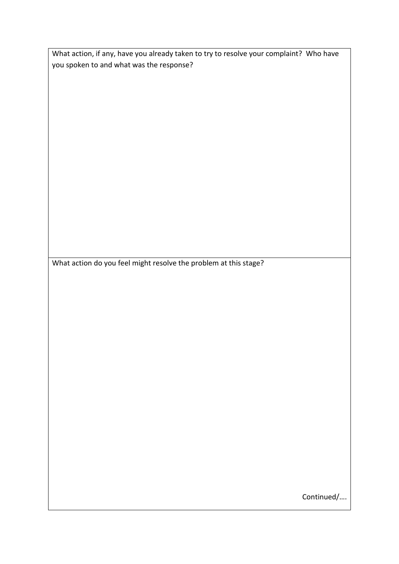What action, if any, have you already taken to try to resolve your complaint? Who have you spoken to and what was the response?

What action do you feel might resolve the problem at this stage?

Continued/….